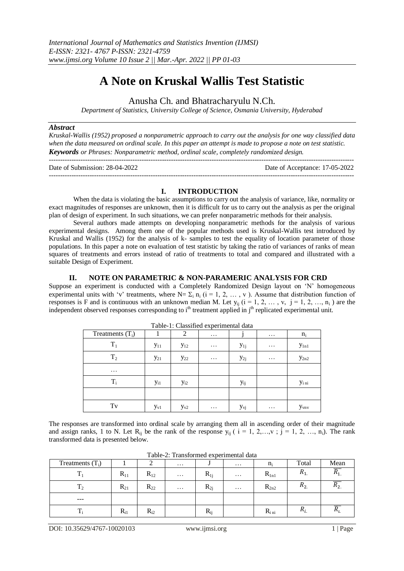# **A Note on Kruskal Wallis Test Statistic**

Anusha Ch. and Bhatracharyulu N.Ch.

*Department of Statistics, University College of Science, Osmania University, Hyderabad*

#### *Abstract*

*Kruskal-Wallis (1952) proposed a nonparametric approach to carry out the analysis for one way classified data when the data measured on ordinal scale. In this paper an attempt is made to propose a note on test statistic. Keywords or Phrases: Nonparametric method, ordinal scale, completely randomized design.*

| Date of Submission: 28-04-2022 | Date of Acceptance: 17-05-2022 |
|--------------------------------|--------------------------------|
|                                |                                |

## **I. INTRODUCTION**

When the data is violating the basic assumptions to carry out the analysis of variance, like, normality or exact magnitudes of responses are unknown, then it is difficult for us to carry out the analysis as per the original plan of design of experiment. In such situations, we can prefer nonparametric methods for their analysis.

Several authors made attempts on developing nonparametric methods for the analysis of various experimental designs. Among them one of the popular methods used is Kruskal-Wallis test introduced by Kruskal and Wallis (1952) for the analysis of k- samples to test the equality of location parameter of those populations. In this paper a note on evaluation of test statistic by taking the ratio of variances of ranks of mean squares of treatments and errors instead of ratio of treatments to total and compared and illustrated with a suitable Design of Experiment.

## **II. NOTE ON PARAMETRIC & NON-PARAMERIC ANALYSIS FOR CRD**

Suppose an experiment is conducted with a Completely Randomized Design layout on 'N' homogeneous experimental units with 'v' treatments, where  $N = \sum_i n_i$  (i = 1, 2, …, v). Assume that distribution function of responses is F and is continuous with an unknown median M. Let  $y_{ii}$  ( $i = 1, 2, ..., v, j = 1, 2, ..., n_i$ ) are the independent observed responses corresponding to i<sup>th</sup> treatment applied in j<sup>th</sup> replicated experimental unit.

| I abie-I: Classified experimental data |                 |          |          |          |          |                                     |  |  |
|----------------------------------------|-----------------|----------|----------|----------|----------|-------------------------------------|--|--|
| Treatments $(T_i)$                     |                 | 2        | $\cdots$ |          | $\cdots$ | $n_i$                               |  |  |
| $T_1$                                  | $y_{11}$        | $y_{12}$ | .        | $y_{1j}$ | $\cdots$ | $y_{1n1}$                           |  |  |
| $T_2$                                  | $y_{21}$        | $y_{22}$ | $\cdots$ | $y_{2j}$ | $\cdots$ | $y_{2n2}$                           |  |  |
| $\cdots$                               |                 |          |          |          |          |                                     |  |  |
| $T_i$                                  | y <sub>i1</sub> | $y_{i2}$ |          | Уij      |          | Yi ni                               |  |  |
|                                        |                 |          |          |          |          |                                     |  |  |
| Tv                                     | $y_{v1}$        | $y_{v2}$ | .        | Уvj      | .        | <b>Y</b> <sub>vn</sub> <sub>v</sub> |  |  |

Table-1: Classified experimental data

The responses are transformed into ordinal scale by arranging them all in ascending order of their magnitude and assign ranks, 1 to N. Let  $R_{ii}$  be the rank of the response  $y_{ii}$  (  $i = 1, 2, ..., v$  ;  $j = 1, 2, ..., n_i$ ). The rank transformed data is presented below.

| Treatments $(T_i)$ |          |          | $\cdots$ |          | $\cdots$ | $n_i$       | Total    | Mean           |
|--------------------|----------|----------|----------|----------|----------|-------------|----------|----------------|
| m                  | $R_{11}$ | $R_{12}$ | $\cdots$ | $R_{1i}$ | $\cdots$ | $R_{1n1}$   | $n_{1}$  | $\mathbf{u}_1$ |
| $T_2$              | $R_{21}$ | $R_{22}$ | $\cdots$ | $R_{2j}$ | $\cdots$ | $R_{2n2}$   | $R_{2.}$ | $n_2$          |
| $---$              |          |          |          |          |          |             |          |                |
| m                  | $R_{i1}$ | $R_{i2}$ |          | $R_{ij}$ |          | $R_{i\,ni}$ | $n_{i}$  | $n_{l}$        |

Table-2: Transformed experimental data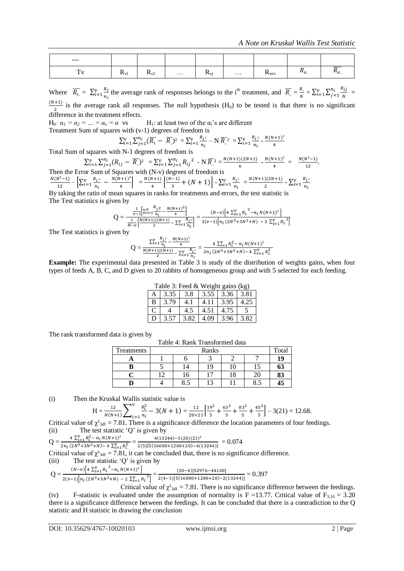| $---$         |                         |                       |          |               |          |                           |                |                |
|---------------|-------------------------|-----------------------|----------|---------------|----------|---------------------------|----------------|----------------|
| $\sim$<br>. . | $\mathbf{I} \mathbf{V}$ | $\mathbf{N}_{\rm V2}$ | $\cdots$ | $\mathbf{IV}$ | $\cdots$ | $\mathbf{r}_{\text{vnv}}$ | $\mathbf{u}_v$ | $\mathbf{u}_v$ |

Where  $\overline{R_{i}} = \sum_{i=1}^{v} \frac{R_{i}}{R_{i}}$  $\boldsymbol{n}$  $\frac{v}{t-1} \frac{R_i}{n_i}$  the average rank of responses belongs to the i<sup>th</sup> treatment, and  $\overline{R_n} = \frac{R_i}{\Delta}$  $\frac{R_i}{N} = \sum_{i=1}^{v} \sum_{j=1}^{n_i} \frac{R_i}{N}$ N  $\boldsymbol{n}$  $v_{i=1}^{v} \sum_{j=1}^{n_i} \frac{\kappa_{ij}}{N} =$ (

 $\frac{1}{2}$  is the average rank all responses. The null hypothesis (H<sub>0</sub>) to be tested is that there is no significant difference in the treatment effects.

H<sub>0</sub>:  $\alpha_1 = \alpha_2 = ... = \alpha_v = \alpha$  vs H<sub>1</sub>: at least two of the  $\alpha_i$ 's are different Treatment Sum of squares with (v-1) degrees of freedom is

$$
\sum_{i=1}^{v} \sum_{j=1}^{n_i} (\overline{R_i} - \overline{R_i})^2 = \sum_{i=1}^{v} \frac{R_{i^2}}{n_i} - N \overline{R_i^2} = \sum_{i=1}^{v} \frac{R_{i^2}}{n_i} - \frac{N(N+1)^2}{4}
$$

Total Sum of squares with N-1 degrees of freedom is

 $\sum_{i=1}^{v} \sum_{i=1}^{n}$  $\sum_{i=1}^{v} \sum_{j=1}^{n_i} (R_{ij} - \overline{R})^2 = \sum_{i=1}^{v} \sum_{j=1}^{n_i}$  $v_{i=1}^v \sum_{j=1}^{n_i} R_{ij}^2$  - N  $\overline{R}^2 = \frac{N}{2}$  $rac{)(2N+1)}{6} - \frac{N}{2}$  $\frac{(1+1)^2}{4} = \frac{N}{2}$  $\frac{(x-1)}{12}$ . Then the Error Sum of Squares with (N-v) degrees of freedom is

$$
\frac{N(N^2-1)}{12} - \left[\sum_{i=1}^{\nu} \frac{R_{i^2}}{n_i} - \frac{N(N+1)^2}{4}\right] = \frac{N(N+1)}{4} \left[\frac{(N-1)}{3} + (N+1)\right] - \sum_{i=1}^{\nu} \frac{R_{i^2}}{n_i} = \frac{N(N+1)(2N+1)}{2} - \sum_{i=1}^{\nu} \frac{R_{i^2}}{n_i}
$$
  
By taking the ratio of mean squares in ranks for treatments and errors, the test statistic is

The Test statistics is given by

$$
Q = \frac{\frac{1}{\nu - 1} \left[ \sum_{i=1}^{\nu} \frac{R_{i,2}}{n_i} - \frac{N(N+1)^2}{4} \right]}{\frac{1}{N - \nu} \left[ \frac{N(N+1)(2N+1)}{2} - \sum_{i=1}^{\nu} \frac{R_{i,2}}{n_i} \right]} = \frac{(N - \nu) \left[ 4 \sum_{i=1}^{\nu} R_{i,2}^2 - n_i N(N+1)^2 \right]}{2(\nu - 1) \left[ n_i (2N^3 + 3N^2 + N) - 2 \sum_{i=1}^{\nu} R_{i,2}^2 \right]}
$$

The Test statistics is given by

$$
Q = \frac{\sum_{i=1}^{v} \frac{R_{i}^{2}}{n_{i}} - \frac{N(N+1)^{2}}{4}}{\frac{N(N+1)(2N+1)}{2} - \sum_{i=1}^{v} \frac{R_{i}^{2}}{n_{i}}} = \frac{4 \sum_{i=1}^{v} R_{i}^{2} - n_{i} N(N+1)^{2}}{2n_{i} (2N^{3}+3N^{2}+N) - 4 \sum_{i=1}^{v} R_{i}^{2}}
$$

**Example:** The experimental data presented in Table 3 is study of the distribution of weights gains, when four types of feeds A, B, C, and D given to 20 rabbits of homogeneous group and with 5 selected for each feeding.

| Table 3: Feed & Weight gains (kg) |      |      |      |                 |      |  |  |
|-----------------------------------|------|------|------|-----------------|------|--|--|
|                                   | 3.35 | 3.8  |      | $3.55$   $3.36$ | 3.81 |  |  |
| в                                 | 3.79 |      | 4.11 | 3.95            | 4.25 |  |  |
| $\mathbf C$                       |      | 4.5  | 4.51 | 4.75            |      |  |  |
| D                                 | 3.57 | 3.82 | . ೧୨ | 3.96            | 3.82 |  |  |

The rank transformed data is given by

| Table 4: Rank Transformed data |
|--------------------------------|
|                                |

| Treatments |        | Total |        |    |     |    |
|------------|--------|-------|--------|----|-----|----|
|            |        |       |        |    |     | 19 |
|            |        | 14    | 19     | 10 | IJ  | 63 |
|            | $\sim$ | 16    |        | 18 | 20  | 83 |
|            |        | 0.J   | $\sim$ |    | o.J | 45 |

(i) Then the Kruskal Wallis statistic value is

$$
H = \frac{12}{N(N+1)} \sum_{i=1}^{V} \frac{R_{i}^{2}}{n_{i}} - 3(N+1) = \frac{12}{20 \times 21} \left[ \frac{19^{2}}{5} + \frac{63^{2}}{5} + \frac{83^{2}}{5} + \frac{45^{2}}{5} \right] - 3(21) = 12.68.
$$

Critical value of  $\chi^2_{3df} = 7.81$ . There is a significance difference the location parameters of four feedings. (ii) The test statistic 'Q' is given by

$$
Q = \frac{4 \sum_{i=1}^{p} R_i^2 - n_i N(N+1)^2}{2 \sqrt{(\frac{2}{3} + 1)^2 (n + 1)^2}} = \frac{4(3244) - 5(20)}{2 \sqrt{(\frac{2}{3} + 1)^2 (n + 1)^2}} = \frac{4(3244) - 5(20)}{2 \sqrt{(\frac{2}{3} + 1)^2 (n + 1)^2}}
$$

 $\frac{4 \sum_{i=1}^{V} R_{i}^{2} - n_{i} N (N+1)^{2}}{2 n_{i} (2 N^{3} + 3 N^{2} + N) - 4 \sum_{i=1}^{V} R_{i}^{2}} = \frac{4}{2(5) [5(1 + N^{3})^{2} + N^{2} + N^{2}]}$  $\frac{4(13244)-3(20)(21)}{2(5)[5(16000+1200+20)-4(13244)]} = 0.074$ 

Critical value of  $\chi^2_{3df} = 7.81$ , it can be concluded that, there is no significance difference.

(iii) The test statistic  $\ddot{Q}$  is given by

$$
Q = \frac{(N-v)\left[4\sum_{i=1}^{v} R_i^2 - n_i N(N+1)^2\right]}{2(v-1)\left[n_i (2N^3+3N^2+N) - 2\sum_{i=1}^{v} R_i^2\right]} = \frac{(20-4)[52976-44100]}{2(4-1)[5(16000+1200+20)-2(13244)]} = 0.397
$$

Critical value of  $\chi^2_{3df} = 7.81$ . There is no significance difference between the feedings. (iv) F-statistic is evaluated under the assumption of normality is F =13.77. Critical value of  $F_{3,16} = 3.20$ there is a significance difference between the feedings. It can be concluded that there is a contradiction to the Q statistic and H statistic in drawing the conclusion